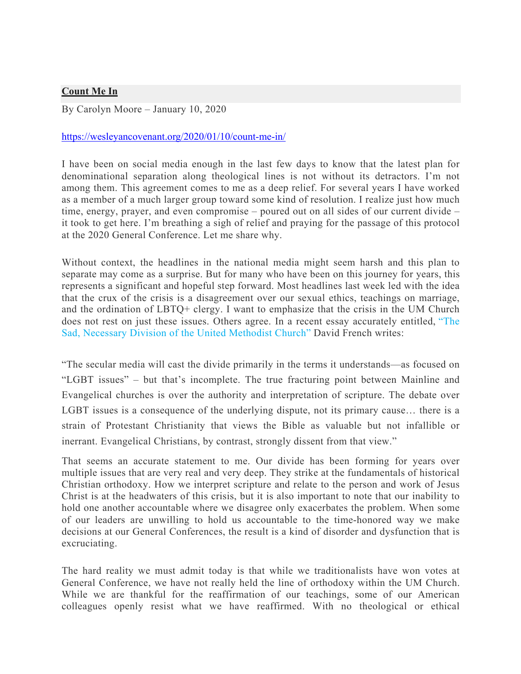## **Count Me In**

By Carolyn Moore – January 10, 2020

## https://wesleyancovenant.org/2020/01/10/count-me-in/

I have been on social media enough in the last few days to know that the latest plan for denominational separation along theological lines is not without its detractors. I'm not among them. This agreement comes to me as a deep relief. For several years I have worked as a member of a much larger group toward some kind of resolution. I realize just how much time, energy, prayer, and even compromise – poured out on all sides of our current divide – it took to get here. I'm breathing a sigh of relief and praying for the passage of this protocol at the 2020 General Conference. Let me share why.

Without context, the headlines in the national media might seem harsh and this plan to separate may come as a surprise. But for many who have been on this journey for years, this represents a significant and hopeful step forward. Most headlines last week led with the idea that the crux of the crisis is a disagreement over our sexual ethics, teachings on marriage, and the ordination of LBTQ+ clergy. I want to emphasize that the crisis in the UM Church does not rest on just these issues. Others agree. In a recent essay accurately entitled, "The Sad, Necessary Division of the United Methodist Church" David French writes:

"The secular media will cast the divide primarily in the terms it understands—as focused on "LGBT issues" – but that's incomplete. The true fracturing point between Mainline and Evangelical churches is over the authority and interpretation of scripture. The debate over LGBT issues is a consequence of the underlying dispute, not its primary cause… there is a strain of Protestant Christianity that views the Bible as valuable but not infallible or inerrant. Evangelical Christians, by contrast, strongly dissent from that view."

That seems an accurate statement to me. Our divide has been forming for years over multiple issues that are very real and very deep. They strike at the fundamentals of historical Christian orthodoxy. How we interpret scripture and relate to the person and work of Jesus Christ is at the headwaters of this crisis, but it is also important to note that our inability to hold one another accountable where we disagree only exacerbates the problem. When some of our leaders are unwilling to hold us accountable to the time-honored way we make decisions at our General Conferences, the result is a kind of disorder and dysfunction that is excruciating.

The hard reality we must admit today is that while we traditionalists have won votes at General Conference, we have not really held the line of orthodoxy within the UM Church. While we are thankful for the reaffirmation of our teachings, some of our American colleagues openly resist what we have reaffirmed. With no theological or ethical